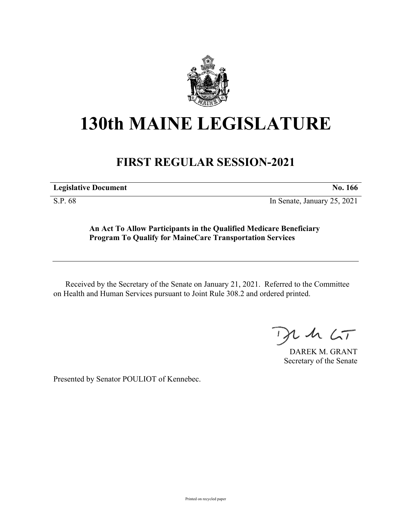

## **130th MAINE LEGISLATURE**

## **FIRST REGULAR SESSION-2021**

**Legislative Document No. 166**

S.P. 68 In Senate, January 25, 2021

**An Act To Allow Participants in the Qualified Medicare Beneficiary Program To Qualify for MaineCare Transportation Services**

Received by the Secretary of the Senate on January 21, 2021. Referred to the Committee on Health and Human Services pursuant to Joint Rule 308.2 and ordered printed.

 $125$ 

DAREK M. GRANT Secretary of the Senate

Presented by Senator POULIOT of Kennebec.